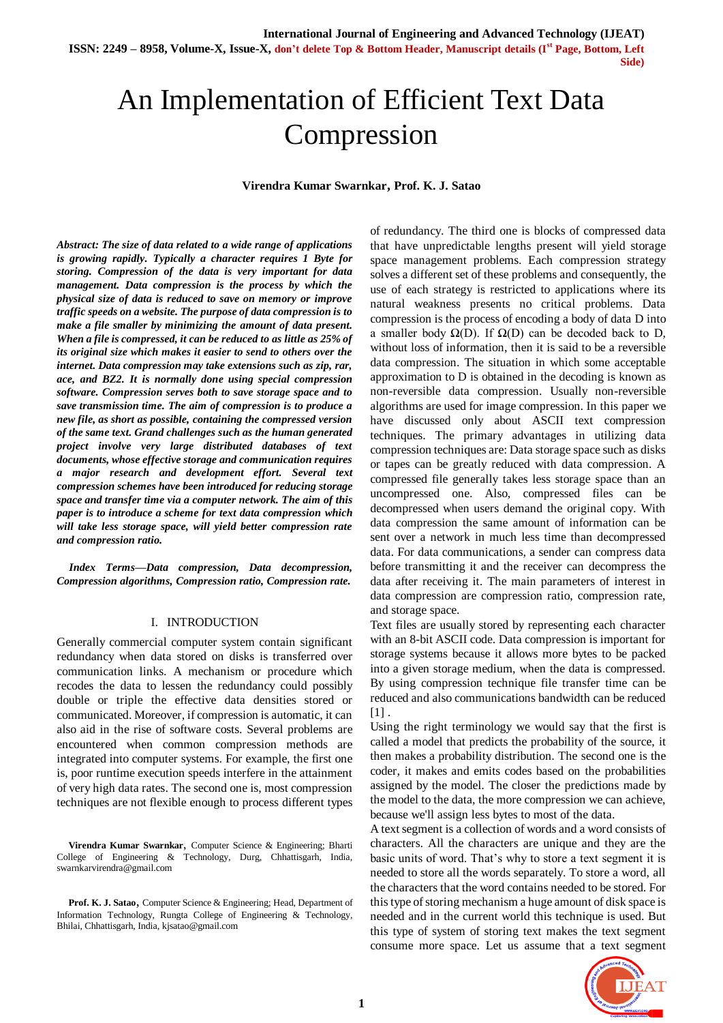**ISSN: 2249 – 8958, Volume-X, Issue-X, don't delete Top & Bottom Header, Manuscript details (Ist Page, Bottom, Left Side)** 

# An Implementation of Efficient Text Data Compression

#### **Virendra Kumar Swarnkar, Prof. K. J. Satao**

*Abstract: The size of data related to a wide range of applications is growing rapidly. Typically a character requires 1 Byte for storing. Compression of the data is very important for data management. Data compression is the process by which the physical size of data is reduced to save on memory or improve traffic speeds on a website. The purpose of data compression is to make a file smaller by minimizing the amount of data present. When a file is compressed, it can be reduced to as little as 25% of its original size which makes it easier to send to others over the internet. Data compression may take extensions such as zip, rar, ace, and BZ2. It is normally done using special compression software. Compression serves both to save storage space and to save transmission time. The aim of compression is to produce a new file, as short as possible, containing the compressed version of the same text. Grand challenges such as the human generated project involve very large distributed databases of text documents, whose effective storage and communication requires a major research and development effort. Several text compression schemes have been introduced for reducing storage space and transfer time via a computer network. The aim of this paper is to introduce a scheme for text data compression which will take less storage space, will yield better compression rate and compression ratio.*

*Index Terms***—***Data compression, Data decompression, Compression algorithms, Compression ratio, Compression rate.*

#### I. INTRODUCTION

Generally commercial computer system contain significant redundancy when data stored on disks is transferred over communication links. A mechanism or procedure which recodes the data to lessen the redundancy could possibly double or triple the effective data densities stored or communicated. Moreover, if compression is automatic, it can also aid in the rise of software costs. Several problems are encountered when common compression methods are integrated into computer systems. For example, the first one is, poor runtime execution speeds interfere in the attainment of very high data rates. The second one is, most compression techniques are not flexible enough to process different types

 **Virendra Kumar Swarnkar**, Computer Science & Engineering; Bharti College of Engineering & Technology, Durg, Chhattisgarh, India, swarnkarvirendra@gmail.com

 **Prof. K. J. Satao**, Computer Science & Engineering; Head, Department of Information Technology, Rungta College of Engineering & Technology, Bhilai, Chhattisgarh, India, kjsatao@gmail.com

of redundancy. The third one is blocks of compressed data that have unpredictable lengths present will yield storage space management problems. Each compression strategy solves a different set of these problems and consequently, the use of each strategy is restricted to applications where its natural weakness presents no critical problems. Data compression is the process of encoding a body of data D into a smaller body  $\Omega$ (D). If  $\Omega$ (D) can be decoded back to D, without loss of information, then it is said to be a reversible data compression. The situation in which some acceptable approximation to D is obtained in the decoding is known as non-reversible data compression. Usually non-reversible algorithms are used for image compression. In this paper we have discussed only about ASCII text compression techniques. The primary advantages in utilizing data compression techniques are: Data storage space such as disks or tapes can be greatly reduced with data compression. A compressed file generally takes less storage space than an uncompressed one. Also, compressed files can be decompressed when users demand the original copy. With data compression the same amount of information can be sent over a network in much less time than decompressed data. For data communications, a sender can compress data before transmitting it and the receiver can decompress the data after receiving it. The main parameters of interest in data compression are compression ratio, compression rate, and storage space.

Text files are usually stored by representing each character with an 8-bit ASCII code. Data compression is important for storage systems because it allows more bytes to be packed into a given storage medium, when the data is compressed. By using compression technique file transfer time can be reduced and also communications bandwidth can be reduced  $[1]$ .

Using the right terminology we would say that the first is called a model that predicts the probability of the source, it then makes a probability distribution. The second one is the coder, it makes and emits codes based on the probabilities assigned by the model. The closer the predictions made by the model to the data, the more compression we can achieve, because we'll assign less bytes to most of the data.

A text segment is a collection of words and a word consists of characters. All the characters are unique and they are the basic units of word. That's why to store a text segment it is needed to store all the words separately. To store a word, all the characters that the word contains needed to be stored. For this type of storing mechanism a huge amount of disk space is needed and in the current world this technique is used. But this type of system of storing text makes the text segment consume more space. Let us assume that a text segment

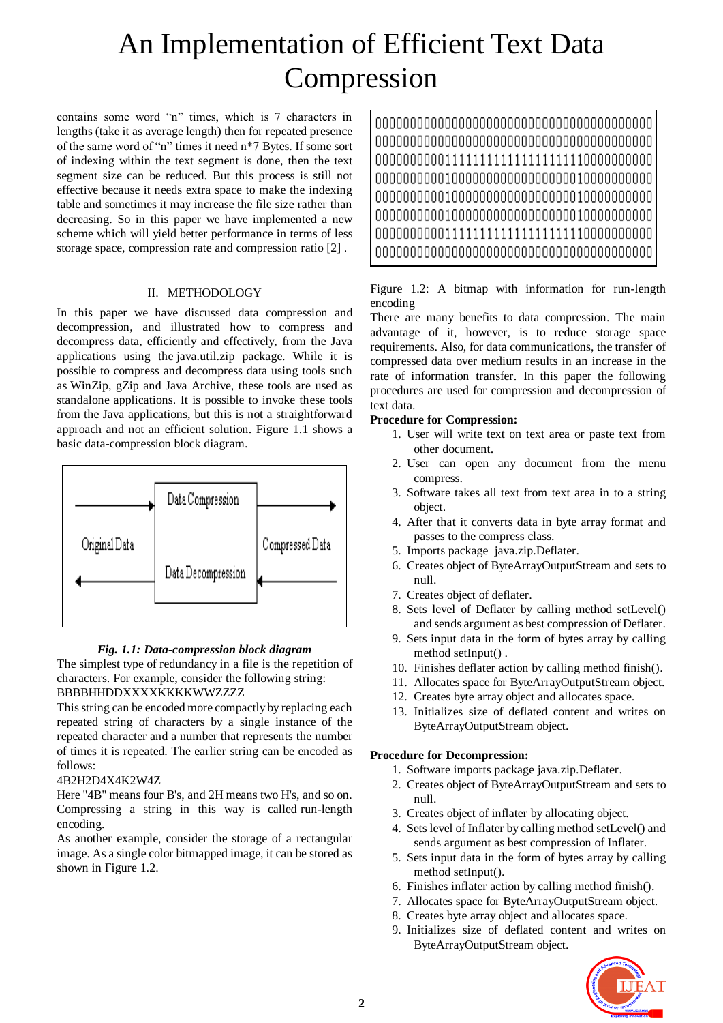# An Implementation of Efficient Text Data Compression

contains some word "n" times, which is 7 characters in lengths (take it as average length) then for repeated presence of the same word of "n" times it need n\*7 Bytes. If some sort of indexing within the text segment is done, then the text segment size can be reduced. But this process is still not effective because it needs extra space to make the indexing table and sometimes it may increase the file size rather than decreasing. So in this paper we have implemented a new scheme which will yield better performance in terms of less storage space, compression rate and compression ratio [2] .

#### II. METHODOLOGY

In this paper we have discussed data compression and decompression, and illustrated how to compress and decompress data, efficiently and effectively, from the Java applications using the java.util.zip package. While it is possible to compress and decompress data using tools such as WinZip, gZip and Java Archive, these tools are used as standalone applications. It is possible to invoke these tools from the Java applications, but this is not a straightforward approach and not an efficient solution. Figure 1.1 shows a basic data-compression block diagram.



## *Fig. 1.1: Data-compression block diagram*

The simplest type of redundancy in a file is the repetition of characters. For example, consider the following string: BBBBHHDDXXXXKKKKWWZZZZ

This string can be encoded more compactly by replacing each repeated string of characters by a single instance of the repeated character and a number that represents the number of times it is repeated. The earlier string can be encoded as follows:

#### 4B2H2D4X4K2W4Z

Here "4B" means four B's, and 2H means two H's, and so on. Compressing a string in this way is called run-length encoding.

As another example, consider the storage of a rectangular image. As a single color bitmapped image, it can be stored as shown in Figure 1.2.

### Figure 1.2: A bitmap with information for run-length encoding

There are many benefits to data compression. The main advantage of it, however, is to reduce storage space requirements. Also, for data communications, the transfer of compressed data over medium results in an increase in the rate of information transfer. In this paper the following procedures are used for compression and decompression of text data.

### **Procedure for Compression:**

- 1. User will write text on text area or paste text from other document.
- 2. User can open any document from the menu compress.
- 3. Software takes all text from text area in to a string object.
- 4. After that it converts data in byte array format and passes to the compress class.
- 5. Imports package java.zip.Deflater.
- 6. Creates object of ByteArrayOutputStream and sets to null.
- 7. Creates object of deflater.
- 8. Sets level of Deflater by calling method setLevel() and sends argument as best compression of Deflater.
- 9. Sets input data in the form of bytes array by calling method setInput() .
- 10. Finishes deflater action by calling method finish().
- 11. Allocates space for ByteArrayOutputStream object.
- 12. Creates byte array object and allocates space.
- 13. Initializes size of deflated content and writes on ByteArrayOutputStream object.

#### **Procedure for Decompression:**

- 1. Software imports package java.zip.Deflater.
- 2. Creates object of ByteArrayOutputStream and sets to null.
- 3. Creates object of inflater by allocating object.
- 4. Sets level of Inflater by calling method setLevel() and sends argument as best compression of Inflater.
- 5. Sets input data in the form of bytes array by calling method setInput().
- 6. Finishes inflater action by calling method finish().
- 7. Allocates space for ByteArrayOutputStream object.
- 8. Creates byte array object and allocates space.
- 9. Initializes size of deflated content and writes on ByteArrayOutputStream object.

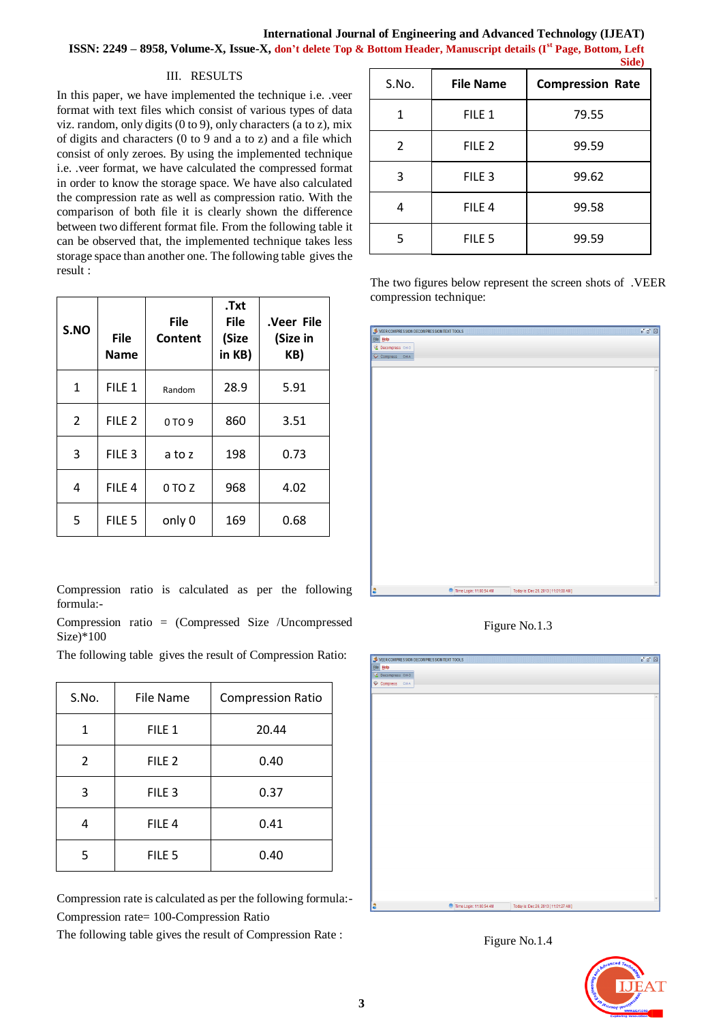#### III. RESULTS

In this paper, we have implemented the technique i.e. .veer format with text files which consist of various types of data viz. random, only digits (0 to 9), only characters (a to z), mix of digits and characters (0 to 9 and a to z) and a file which consist of only zeroes. By using the implemented technique i.e. .veer format, we have calculated the compressed format in order to know the storage space. We have also calculated the compression rate as well as compression ratio. With the comparison of both file it is clearly shown the difference between two different format file. From the following table it can be observed that, the implemented technique takes less storage space than another one. The following table gives the result :

| S.NO           | <b>File</b><br><b>Name</b> | <b>File</b><br>Content | .Txt<br><b>File</b><br>(Size<br>in KB) | .Veer File<br>(Size in<br>KB) |
|----------------|----------------------------|------------------------|----------------------------------------|-------------------------------|
| 1              | FILE <sub>1</sub>          | Random                 | 28.9                                   | 5.91                          |
| $\overline{2}$ | FILE <sub>2</sub>          | 0 TO 9                 | 860                                    | 3.51                          |
| 3              | FILE <sub>3</sub>          | a to z                 | 198                                    | 0.73                          |
| 4              | FILE <sub>4</sub>          | 0 TO Z                 | 968                                    | 4.02                          |
| 5              | FILE <sub>5</sub>          | only 0                 | 169                                    | 0.68                          |

Compression ratio is calculated as per the following formula:-

Compression ratio = (Compressed Size /Uncompressed Size)\*100

The following table gives the result of Compression Ratio:

| S.No.                  | File Name         | <b>Compression Ratio</b> |
|------------------------|-------------------|--------------------------|
| 1                      | FILE 1            | 20.44                    |
| 2                      | FILE <sub>2</sub> | 0.40                     |
| 3                      | FILE <sub>3</sub> | 0.37                     |
|                        | FILE <sub>4</sub> | 0.41                     |
| FILE <sub>5</sub><br>5 |                   | 0.40                     |

Compression rate is calculated as per the following formula:- Compression rate= 100-Compression Ratio

The following table gives the result of Compression Rate :

| S.No. | <b>File Name</b>  | onic)<br><b>Compression Rate</b> |  |
|-------|-------------------|----------------------------------|--|
| 1     | FILE 1            | 79.55                            |  |
| 2     | FILE <sub>2</sub> | 99.59                            |  |
| 3     | FILE <sub>3</sub> | 99.62                            |  |
| 4     | FILE <sub>4</sub> | 99.58                            |  |
| 5     | FILE <sub>5</sub> | 99.59                            |  |

The two figures below represent the screen shots of .VEER compression technique:

| VEER COMPRESSION DECOMPRESSION TEXT TOOLS |                         | 『図図                                  |
|-------------------------------------------|-------------------------|--------------------------------------|
| File Help                                 |                         |                                      |
| Decompress Ctrl-O                         |                         |                                      |
| Compress CHA                              |                         |                                      |
|                                           |                         |                                      |
|                                           |                         | $\Delta$                             |
|                                           |                         |                                      |
|                                           |                         |                                      |
|                                           |                         |                                      |
|                                           |                         |                                      |
|                                           |                         |                                      |
|                                           |                         |                                      |
|                                           |                         |                                      |
|                                           |                         |                                      |
|                                           |                         |                                      |
|                                           |                         |                                      |
|                                           |                         |                                      |
|                                           |                         |                                      |
|                                           |                         |                                      |
|                                           |                         |                                      |
|                                           |                         |                                      |
|                                           |                         |                                      |
|                                           |                         |                                      |
|                                           |                         |                                      |
|                                           |                         |                                      |
|                                           |                         |                                      |
|                                           |                         |                                      |
|                                           |                         |                                      |
|                                           |                         |                                      |
|                                           |                         |                                      |
|                                           |                         |                                      |
|                                           |                         |                                      |
|                                           |                         |                                      |
| la                                        | Time Login: 11:00:54 AM | Today is: Dec 26, 2013 [11:01:08 AM] |

Figure No.1.3



Figure No.1.4

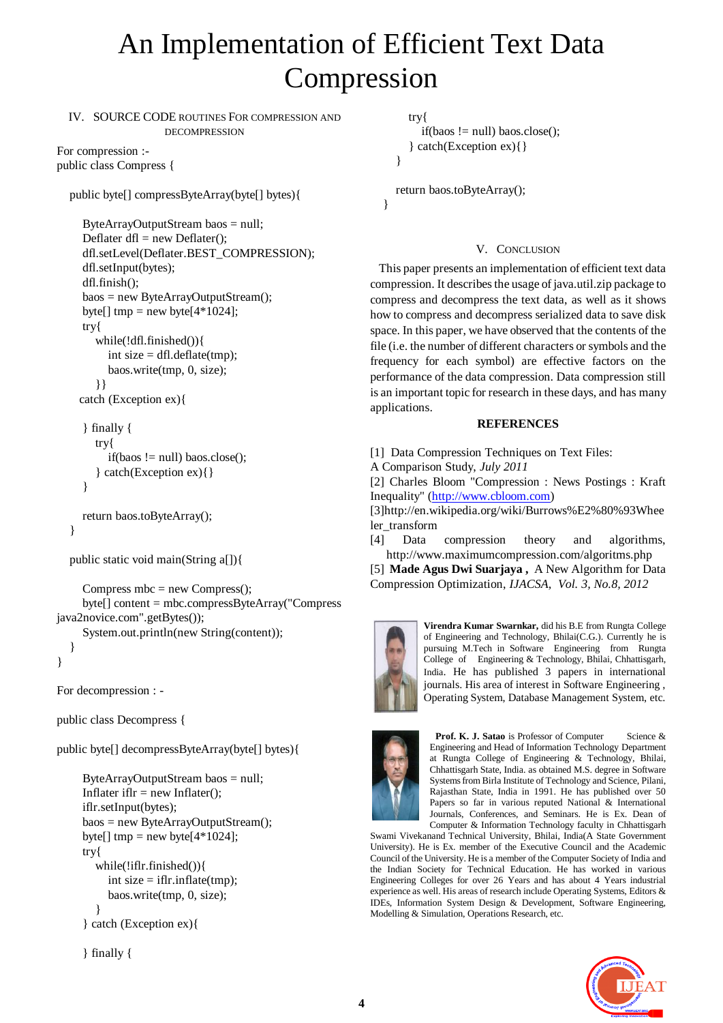# An Implementation of Efficient Text Data Compression

IV. SOURCE CODE ROUTINES FOR COMPRESSION AND DECOMPRESSION

For compression : public class Compress {

public byte[] compressByteArray(byte[] bytes){

```
 ByteArrayOutputStream baos = null;
Deflater df = new Deflater);
 dfl.setLevel(Deflater.BEST_COMPRESSION);
 dfl.setInput(bytes);
 dfl.finish();
 baos = new ByteArrayOutputStream();
byte[] tmp = new byte[4*1024]; try{
    while(!dfl.finished()){
     int size = dfl.deflate(tmp);
       baos.write(tmp, 0, size);
    }}
 catch (Exception ex){
```

```
 } finally {
   try{
      if(baos != null) baos.close();
    } catch(Exception ex){}
 }
```

```
 return baos.toByteArray();
```

```
 public static void main(String a[]){
```

```
Compress mbc = new Compress();
      byte[] content = mbc.compressByteArray("Compress 
java2novice.com".getBytes());
      System.out.println(new String(content));
 }
```

```
}
```
}

For decompression : -

public class Decompress {

public byte[] decompressByteArray(byte[] bytes){

```
 ByteArrayOutputStream baos = null;
Inflater ifI = new Inflater;
 iflr.setInput(bytes);
 baos = new ByteArrayOutputStream();
byte[] tmp = new byte[4*1024];
 try{
   while(!iflr.finished()){
     int size = iflr.inflate(tmp);
      baos.write(tmp, 0, size);
   }
 } catch (Exception ex){
```

```
 } finally {
```

```
 try{
```

```
if(baos != null) baos.close();
    } catch(Exception ex){}
 }
```
 return baos.toByteArray(); }

## V. CONCLUSION

This paper presents an implementation of efficient text data compression. It describes the usage of java.util.zip package to compress and decompress the text data, as well as it shows how to compress and decompress serialized data to save disk space. In this paper, we have observed that the contents of the file (i.e. the number of different characters or symbols and the frequency for each symbol) are effective factors on the performance of the data compression. Data compression still is an important topic for research in these days, and has many applications.

## **REFERENCES**

[1] Data Compression Techniques on Text Files:

A Comparison Study, *July 2011*

[2] Charles Bloom "Compression : News Postings : Kraft Inequality" [\(http://www.cbloom.com\)](http://www.cbloom.com/)

[3]http://en.wikipedia.org/wiki/Burrows%E2%80%93Whee ler\_transform

[4] Data compression theory and algorithms, http://www.maximumcompression.com/algoritms.php

[5] **Made Agus Dwi Suarjaya ,** A New Algorithm for Data Compression Optimization, *IJACSA, Vol. 3, No.8, 2012*



**Virendra Kumar Swarnkar,** did his B.E from Rungta College of Engineering and Technology, Bhilai(C.G.). Currently he is pursuing M.Tech in Software Engineering from Rungta College of Engineering & Technology, Bhilai, Chhattisgarh, India. He has published 3 papers in international journals. His area of interest in Software Engineering , Operating System, Database Management System, etc.



**Prof. K. J. Satao** is Professor of Computer Science & Engineering and Head of Information Technology Department at Rungta College of Engineering & Technology, Bhilai, Chhattisgarh State, India. as obtained M.S. degree in Software Systems from Birla Institute of Technology and Science, Pilani, Rajasthan State, India in 1991. He has published over 50 Papers so far in various reputed National & International Journals, Conferences, and Seminars. He is Ex. Dean of Computer & Information Technology faculty in Chhattisgarh

Swami Vivekanand Technical University, Bhilai, India(A State Government University). He is Ex. member of the Executive Council and the Academic Council of the University. He is a member of the Computer Society of India and the Indian Society for Technical Education. He has worked in various Engineering Colleges for over 26 Years and has about 4 Years industrial experience as well. His areas of research include Operating Systems, Editors & IDEs, Information System Design & Development, Software Engineering, Modelling & Simulation, Operations Research, etc.